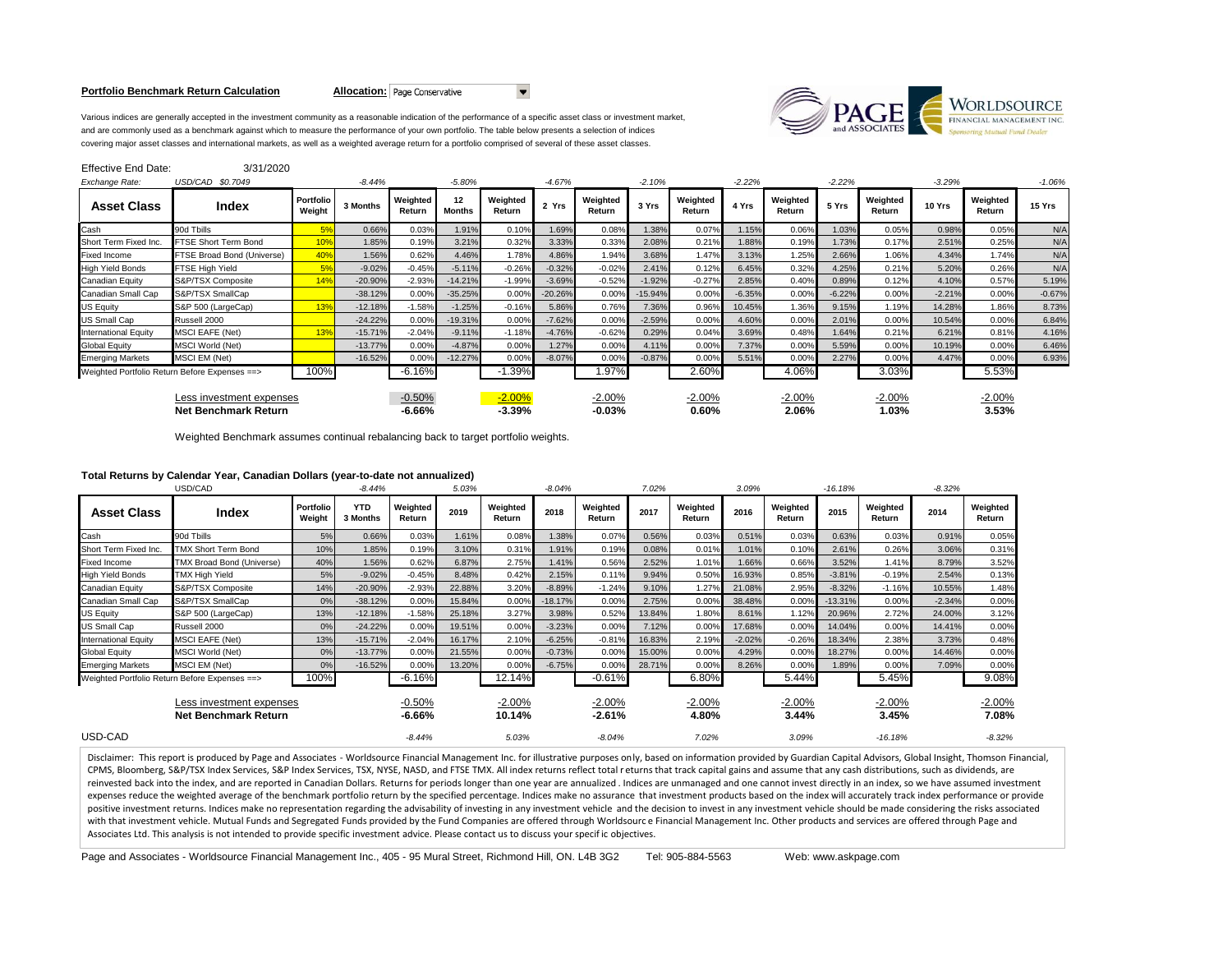#### **Portfolio Benchmark Return Calculation <b>Allocation:** Page Conservative



Various indices are generally accepted in the investment community as a reasonable indication of the performance of a specific asset class or investment market, and are commonly used as a benchmark against which to measure the performance of your own portfolio. The table below presents a selection of indices covering major asset classes and international markets, as well as a weighted average return for a portfolio comprised of several of these asset classes.

| <b>Effective End Date:</b>                              | 3/31/2020                  |                     |           |                      |                          |                      |           |                      |           |                    |          |                    |          |                    |          |                    |          |
|---------------------------------------------------------|----------------------------|---------------------|-----------|----------------------|--------------------------|----------------------|-----------|----------------------|-----------|--------------------|----------|--------------------|----------|--------------------|----------|--------------------|----------|
| Exchange Rate:                                          | USD/CAD \$0.7049           |                     | $-8.44%$  |                      | $-5.80\%$                |                      | $-4.67%$  |                      | $-2.10%$  |                    | $-2.22%$ |                    | $-2.22%$ |                    | $-3.29%$ |                    | $-1.06%$ |
| <b>Asset Class</b>                                      | Index                      | Portfolio<br>Weight | 3 Months  | Weighted<br>Return   | $12 \,$<br><b>Months</b> | Weighted<br>Return   | 2 Yrs     | Weighted<br>Return   | 3 Yrs     | Weighted<br>Return | 4 Yrs    | Weighted<br>Return | 5 Yrs    | Weighted<br>Return | 10 Yrs   | Weighted<br>Return | 15 Yrs   |
| Cash                                                    | 90d Tbills                 | 5%                  | 0.66%     | 0.03%                | 1.91%                    | 0.10%                | 1.69%     | 0.08%                | 1.38%     | 0.07%              | 1.15%    | 0.06%              | 1.03%    | 0.05%              | 0.98%    | 0.05%              | N/A      |
| Short Term Fixed Inc.                                   | FTSE Short Term Bond       | 10%                 | 1.85%     | 0.19%                | 3.21%                    | 0.32%                | 3.33%     | 0.33%                | 2.08%     | 0.21%              | 1.88%    | 0.19%              | 1.73%    | 0.17%              | 2.51%    | 0.25%              | N/A      |
| Fixed Income                                            | FTSE Broad Bond (Universe) | 40%                 | 1.56%     | 0.62%                | 4.46%                    | 1.78%                | 4.86%     | 1.94%                | 3.68%     | 1.47%              | 3.13%    | 1.25%              | 2.66%    | 1.06%              | 4.34%    | 1.74%              | N/A      |
| <b>High Yield Bonds</b>                                 | FTSE High Yield            | 5%                  | $-9.02%$  | $-0.45%$             | $-5.11%$                 | $-0.26%$             | $-0.32%$  | $-0.02%$             | 2.41%     | 0.12%              | 6.45%    | 0.32%              | 4.25%    | 0.21%              | 5.20%    | 0.26%              | N/A      |
| Canadian Equity                                         | S&P/TSX Composite          | 14%                 | $-20.90%$ | $-2.93%$             | $-14.21%$                | $-1.99%$             | $-3.69%$  | $-0.52%$             | $-1.92%$  | $-0.27%$           | 2.85%    | 0.40%              | 0.89%    | 0.12%              | 4.10%    | 0.57%              | 5.19%    |
| Canadian Small Cap                                      | S&P/TSX SmallCap           |                     | $-38.12%$ | 0.00%                | $-35.25%$                | 0.00%                | $-20.26%$ | 0.00%                | $-15.94%$ | 0.00%              | $-6.35%$ | 0.00%              | $-6.22%$ | 0.00%              | $-2.21%$ | 0.00%              | $-0.67%$ |
| US Equity                                               | S&P 500 (LargeCap)         | 13%                 | $-12.18%$ | $-1.58%$             | $-1.25%$                 | $-0.16%$             | 5.86%     | 0.76%                | 7.36%     | 0.96%              | 10.45%   | 1.36%              | 9.15%    | 1.19%              | 14.28%   | 1.86%              | 8.73%    |
| US Small Cap                                            | Russell 2000               |                     | $-24.22%$ | 0.00%                | $-19.31%$                | 0.00%                | $-7.62%$  | 0.00%                | $-2.59%$  | 0.00%              | 4.60%    | 0.00%              | 2.01%    | 0.00%              | 10.54%   | 0.00%              | 6.84%    |
| International Equity                                    | <b>MSCI EAFE (Net)</b>     | 13%                 | $-15.71%$ | $-2.04%$             | $-9.11%$                 | $-1.18%$             | $-4.76%$  | $-0.62%$             | 0.29%     | 0.04%              | 3.69%    | 0.48%              | 1.64%    | 0.21%              | 6.21%    | 0.81%              | 4.16%    |
| <b>Global Equity</b>                                    | <b>MSCI World (Net)</b>    |                     | $-13.77%$ | 0.00%                | $-4.87%$                 | 0.00%                | 1.27%     | 0.00%                | 4.11%     | 0.00%              | 7.37%    | 0.00%              | 5.59%    | 0.00%              | 10.19%   | 0.00%              | 6.46%    |
| <b>Emerging Markets</b>                                 | MSCI EM (Net)              |                     | $-16.52%$ | 0.00%                | $-12.27%$                | 0.00%                | $-8.07%$  | 0.00%                | $-0.87%$  | 0.00%              | 5.51%    | 0.00%              | 2.27%    | 0.00%              | 4.47%    | 0.00%              | 6.93%    |
| Weighted Portfolio Return Before Expenses ==>           |                            | 100%                |           | $-6.16%$             |                          | $-1.39%$             |           | 1.97%                |           | 2.60%              |          | 4.06%              |          | 3.03%              |          | 5.53%              |          |
| Less investment expenses<br><b>Net Benchmark Return</b> |                            |                     |           | $-0.50%$<br>$-6.66%$ |                          | $-2.00%$<br>$-3.39%$ |           | $-2.00%$<br>$-0.03%$ |           | $-2.00%$<br>0.60%  |          | $-2.00%$<br>2.06%  |          | $-2.00%$<br>1.03%  |          | $-2.00%$<br>3.53%  |          |

 $\overline{\phantom{a}}$ 

Weighted Benchmark assumes continual rebalancing back to target portfolio weights.

# **Total Returns by Calendar Year, Canadian Dollars (year-to-date not annualized)**

|                                                         | USD/CAD                                       |                     | $-8.44%$               |                      | 5.03%  | $-8.04%$           |           |                      | 7.02%  |                    |          |                    | $-16.18%$ |                    | $-8.32%$ |                    |
|---------------------------------------------------------|-----------------------------------------------|---------------------|------------------------|----------------------|--------|--------------------|-----------|----------------------|--------|--------------------|----------|--------------------|-----------|--------------------|----------|--------------------|
| <b>Asset Class</b>                                      | Index                                         | Portfolio<br>Weight | <b>YTD</b><br>3 Months | Weighted<br>Return   | 2019   | Weighted<br>Return | 2018      | Weighted<br>Return   | 2017   | Weighted<br>Return | 2016     | Weighted<br>Return | 2015      | Weighted<br>Return | 2014     | Weighted<br>Return |
| Cash                                                    | 90d Tbills                                    | 5%                  | 0.66%                  | 0.03%                | 1.61%  | 0.08%              | 1.38%     | 0.07%                | 0.56%  | 0.03%              | 0.51%    | 0.03%              | 0.63%     | 0.03%              | 0.91%    | 0.05%              |
| Short Term Fixed Inc.                                   | <b>TMX Short Term Bond</b>                    | 10%                 | 1.85%                  | 0.19%                | 3.10%  | 0.31%              | 1.91%     | 0.19%                | 0.08%  | 0.01%              | 1.01%    | 0.10%              | 2.61%     | 0.26%              | 3.06%    | 0.31%              |
| <b>Fixed Income</b>                                     | <b>TMX Broad Bond (Universe)</b>              | 40%                 | 1.56%                  | 0.62%                | 6.87%  | 2.75%              | 1.41%     | 0.56%                | 2.52%  | 1.01%              | 1.66%    | 0.66%              | 3.52%     | 1.41%              | 8.79%    | 3.52%              |
| <b>High Yield Bonds</b>                                 | TMX High Yield                                | 5%                  | $-9.02%$               | $-0.45%$             | 8.48%  | 0.42%              | 2.15%     | 0.11%                | 9.94%  | 0.50%              | 16.93%   | 0.85%              | $-3.81%$  | $-0.19%$           | 2.54%    | 0.13%              |
| Canadian Equity                                         | S&P/TSX Composite                             | 14%                 | $-20.90%$              | $-2.93%$             | 22.88% | 3.20%              | $-8.89%$  | $-1.24%$             | 9.10%  | 1.27%              | 21.08%   | 2.95%              | $-8.32%$  | $-1.16%$           | 10.55%   | 1.48%              |
| Canadian Small Cap                                      | S&P/TSX SmallCap                              | 0%                  | $-38.12%$              | 0.00%                | 15.84% | 0.00%              | $-18.17%$ | 0.00%                | 2.75%  | 0.00%              | 38.48%   | 0.00%              | $-13.31%$ | 0.00%              | $-2.34%$ | 0.00%              |
| <b>US Equity</b>                                        | S&P 500 (LargeCap)                            | 13%                 | $-12.18%$              | $-1.58%$             | 25.18% | 3.27%              | 3.98%     | 0.52%                | 13.84% | 1.80%              | 8.61%    | 1.12%              | 20.96%    | 2.72%              | 24.00%   | 3.12%              |
| US Small Cap                                            | Russell 2000                                  | 0%                  | $-24.22%$              | 0.00%                | 19.51% | 0.00%              | $-3.23%$  | 0.00%                | 7.12%  | 0.00%              | 17.68%   | 0.00%              | 14.04%    | 0.00%              | 14.41%   | 0.00%              |
| <b>International Equity</b>                             | <b>MSCI EAFE (Net)</b>                        | 13%                 | $-15.71%$              | $-2.04%$             | 16.17% | 2.10%              | $-6.25%$  | $-0.81%$             | 16.83% | 2.19%              | $-2.02%$ | $-0.26%$           | 18.34%    | 2.38%              | 3.73%    | 0.48%              |
| <b>Global Equity</b>                                    | <b>MSCI World (Net)</b>                       | 0%                  | $-13.77%$              | 0.00%                | 21.55% | 0.00%              | $-0.73%$  | 0.00%                | 15.00% | 0.00%              | 4.29%    | 0.00%              | 18.27%    | 0.00%              | 14.46%   | 0.00%              |
| <b>Emerging Markets</b>                                 | MSCI EM (Net)                                 | 0%                  | $-16.52%$              | $0.00\%$             | 13.20% | 0.00%              | $-6.75%$  | 0.00%                | 28.71% | 0.00%              | 8.26%    | 0.00%              | 1.89%     | 0.00%              | 7.09%    | 0.00%              |
|                                                         | Weighted Portfolio Return Before Expenses ==> |                     | 100%                   | $-6.16%$             |        | 12.14%             |           | $-0.61%$             |        | 6.80%              |          | 5.44%              |           | 5.45%              |          | 9.08%              |
| Less investment expenses<br><b>Net Benchmark Return</b> |                                               |                     |                        | $-0.50%$<br>$-6.66%$ |        | $-2.00%$<br>10.14% |           | $-2.00%$<br>$-2.61%$ |        | $-2.00%$<br>4.80%  |          | $-2.00%$<br>3.44%  |           | $-2.00%$<br>3.45%  |          | $-2.00%$<br>7.08%  |
| USD-CAD                                                 |                                               |                     |                        | $-8.44%$             |        | 5.03%              |           | $-8.04%$             |        | 7.02%              |          | 3.09%              |           | $-16.18%$          |          | $-8.32%$           |

Disclaimer: This report is produced by Page and Associates - Worldsource Financial Management Inc. for illustrative purposes only, based on information provided by Guardian Capital Advisors, Global Insight, Thomson Financi CPMS, Bloomberg, S&P/TSX Index Services, S&P Index Services, TSX, NYSE, NASD, and FTSE TMX. All index returns reflect total r eturns that track capital gains and assume that any cash distributions, such as dividends, are reinvested back into the index, and are reported in Canadian Dollars. Returns for periods longer than one year are annualized . Indices are unmanaged and one cannot invest directly in an index, so we have assumed investmen expenses reduce the weighted average of the benchmark portfolio return by the specified percentage. Indices make no assurance that investment products based on the index will accurately track index performance or provide positive investment returns. Indices make no representation regarding the advisability of investing in any investment vehicle and the decision to invest in any investment vehicle should be made considering the risks associ with that investment vehicle. Mutual Funds and Segregated Funds provided by the Fund Companies are offered through Worldsourc e Financial Management Inc. Other products and services are offered through Page and Associates Ltd. This analysis is not intended to provide specific investment advice. Please contact us to discuss your specif ic objectives.

Page and Associates - Worldsource Financial Management Inc., 405 - 95 Mural Street, Richmond Hill, ON. L4B 3G2 Tel: 905-884-5563 Web: www.askpage.com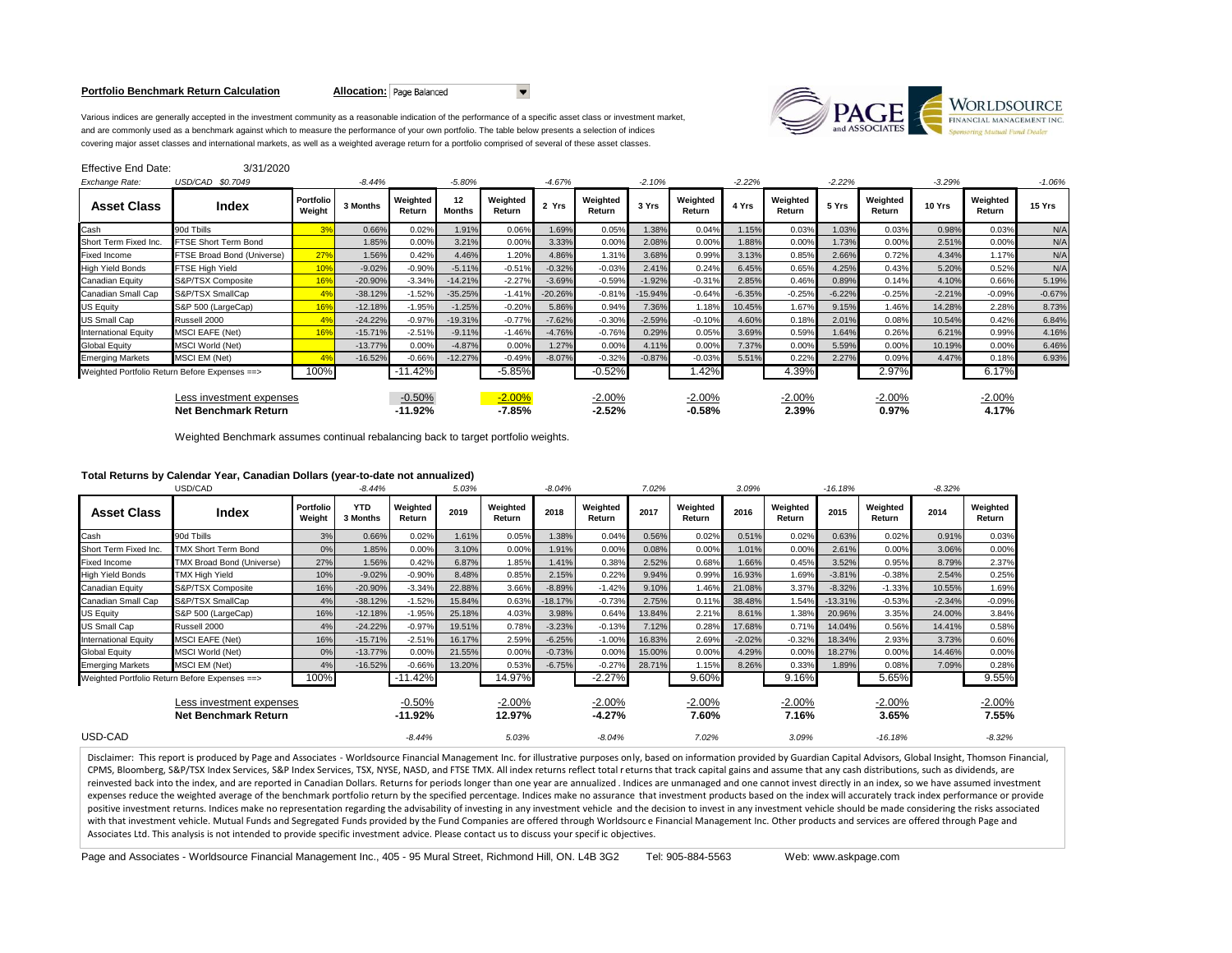#### **Portfolio Benchmark Return Calculation <b>Allocation:** Page Balanced



Various indices are generally accepted in the investment community as a reasonable indication of the performance of a specific asset class or investment market, and are commonly used as a benchmark against which to measure the performance of your own portfolio. The table below presents a selection of indices covering major asset classes and international markets, as well as a weighted average return for a portfolio comprised of several of these asset classes.

| Effective End Date:                                     | 3/31/2020                                     |                     |           |                     |                     |                      |           |                      |           |                      |          |                    |          |                    |          |                    |          |
|---------------------------------------------------------|-----------------------------------------------|---------------------|-----------|---------------------|---------------------|----------------------|-----------|----------------------|-----------|----------------------|----------|--------------------|----------|--------------------|----------|--------------------|----------|
| Exchange Rate:                                          | USD/CAD \$0.7049                              |                     | $-8.44%$  |                     | $-5.80%$            |                      | $-4.67%$  |                      | $-2.10%$  |                      | $-2.22%$ |                    | $-2.22%$ |                    | $-3.29%$ |                    | $-1.06%$ |
| <b>Asset Class</b>                                      | Index                                         | Portfolio<br>Weight | 3 Months  | Weighted<br>Return  | 12<br><b>Months</b> | Weighted<br>Return   | 2 Yrs     | Weighted<br>Return   | 3 Yrs     | Weighted<br>Return   | 4 Yrs    | Weighted<br>Return | 5 Yrs    | Weighted<br>Return | 10 Yrs   | Weighted<br>Return | 15 Yrs   |
| Cash                                                    | 90d Tbills                                    | 3%                  | 0.66%     | 0.02%               | 1.91%               | 0.06%                | 1.69%     | 0.05%                | 1.38%     | 0.04%                | 1.15%    | 0.03%              | 1.03%    | 0.03%              | 0.98%    | 0.03%              | N/A      |
| Short Term Fixed Inc.                                   | FTSE Short Term Bond                          |                     | 1.85%     | 0.00%               | 3.21%               | 0.00%                | 3.33%     | 0.00%                | 2.08%     | 0.00%                | 1.88%    | 0.00%              | 1.73%    | 0.00%              | 2.51%    | 0.00%              | N/A      |
| <b>Fixed Income</b>                                     | FTSE Broad Bond (Universe)                    | 27%                 | 1.56%     | 0.42%               | 4.46%               | 1.20%                | 4.86%     | 1.31%                | 3.68%     | 0.99%                | 3.13%    | 0.85%              | 2.66%    | 0.72%              | 4.34%    | 1.17%              | N/A      |
| <b>High Yield Bonds</b>                                 | FTSE High Yield                               | 10%                 | $-9.02%$  | $-0.90%$            | $-5.11%$            | $-0.51%$             | $-0.32%$  | $-0.03%$             | 2.41%     | 0.24%                | 6.45%    | 0.65%              | 4.25%    | 0.43%              | 5.20%    | 0.52%              | N/A      |
| Canadian Equity                                         | S&P/TSX Composite                             | 16 <sup>9</sup>     | $-20.90%$ | $-3.34%$            | $-14.21%$           | $-2.27%$             | $-3.69%$  | $-0.59%$             | $-1.92%$  | $-0.31%$             | 2.85%    | 0.46%              | 0.89%    | 0.14%              | 4.10%    | 0.66%              | 5.19%    |
| Canadian Small Cap                                      | S&P/TSX SmallCap                              | 49                  | $-38.12%$ | $-1.52%$            | $-35.25%$           | $-1.41%$             | $-20.26%$ | $-0.81%$             | $-15.94%$ | $-0.64%$             | $-6.35%$ | $-0.25%$           | $-6.22%$ | $-0.25%$           | $-2.21%$ | $-0.09%$           | $-0.67%$ |
| <b>US Equity</b>                                        | S&P 500 (LargeCap)                            | 16%                 | $-12.18%$ | $-1.95%$            | $-1.25%$            | $-0.20%$             | 5.86%     | 0.94%                | 7.36%     | 1.18%                | 10.45%   | 1.67%              | 9.15%    | 1.46%              | 14.28%   | 2.28%              | 8.73%    |
| <b>US Small Cap</b>                                     | Russell 2000                                  |                     | $-24.22%$ | $-0.97%$            | $-19.31%$           | $-0.77%$             | $-7.62%$  | $-0.30%$             | $-2.59%$  | $-0.10%$             | 4.60%    | 0.18%              | 2.01%    | 0.08%              | 10.54%   | 0.42%              | 6.84%    |
| <b>International Equity</b>                             | <b>MSCI EAFE (Net)</b>                        | 16 <sup>9</sup>     | $-15.71%$ | $-2.51%$            | $-9.11%$            | $-1.46%$             | $-4.76%$  | $-0.76%$             | 0.29%     | 0.05%                | 3.69%    | 0.59%              | 1.64%    | 0.26%              | 6.21%    | 0.99%              | 4.16%    |
| <b>Global Equity</b>                                    | <b>MSCI World (Net)</b>                       |                     | $-13.77%$ | 0.00%               | $-4.87%$            | 0.00%                | 1.27%     | 0.00%                | 4.11%     | 0.00%                | 7.37%    | 0.00%              | 5.59%    | 0.00%              | 10.19%   | 0.00%              | 6.46%    |
| <b>Emerging Markets</b>                                 | MSCI EM (Net)                                 |                     | $-16.52%$ | $-0.66%$            | $-12.27%$           | $-0.49%$             | $-8.07%$  | $-0.32%$             | $-0.87%$  | $-0.03%$             | 5.51%    | 0.22%              | 2.27%    | 0.09%              | 4.47%    | 0.18%              | 6.93%    |
|                                                         | Weighted Portfolio Return Before Expenses ==> |                     |           | $-11.42%$           |                     | $-5.85%$             |           | $-0.52%$             |           | 1.42%                |          | 4.39%              |          | 2.97%              |          | 6.17%              |          |
| Less investment expenses<br><b>Net Benchmark Return</b> |                                               |                     |           | $-0.50%$<br>-11.92% |                     | $-2.00%$<br>$-7.85%$ |           | $-2.00%$<br>$-2.52%$ |           | $-2.00%$<br>$-0.58%$ |          | $-2.00%$<br>2.39%  |          | $-2.00%$<br>0.97%  |          | $-2.00%$<br>4.17%  |          |

 $\overline{\phantom{a}}$ 

Weighted Benchmark assumes continual rebalancing back to target portfolio weights.

# **Total Returns by Calendar Year, Canadian Dollars (year-to-date not annualized)**

|                                                         | USD/CAD                    |                     | $-8.44%$               |                       | 5.03%  |                    | $-8.04%$  | 7.02%                |        |                    | 3.09%    |                    | $-16.18%$ |                    | $-8.32%$ |                    |
|---------------------------------------------------------|----------------------------|---------------------|------------------------|-----------------------|--------|--------------------|-----------|----------------------|--------|--------------------|----------|--------------------|-----------|--------------------|----------|--------------------|
| <b>Asset Class</b>                                      | Index                      | Portfolio<br>Weight | <b>YTD</b><br>3 Months | Weighted<br>Return    | 2019   | Weighted<br>Return | 2018      | Weighted<br>Return   | 2017   | Weighted<br>Return | 2016     | Weighted<br>Return | 2015      | Weighted<br>Return | 2014     | Weighted<br>Return |
| Cash                                                    | 90d Tbills                 | 3%                  | 0.66%                  | 0.02%                 | 1.61%  | 0.05%              | 1.38%     | 0.04%                | 0.56%  | 0.02%              | 0.51%    | 0.02%              | 0.63%     | 0.02%              | 0.91%    | 0.03%              |
| Short Term Fixed Inc.                                   | <b>TMX Short Term Bond</b> | 0%                  | 1.85%                  | 0.00%                 | 3.10%  | 0.00%              | 1.91%     | 0.00%                | 0.08%  | 0.00%              | 1.01%    | 0.00%              | 2.61%     | 0.00%              | 3.06%    | 0.00%              |
| <b>Fixed Income</b>                                     | TMX Broad Bond (Universe)  | 27%                 | 1.56%                  | 0.42%                 | 6.87%  | 1.85%              | 1.41%     | 0.38%                | 2.52%  | 0.68%              | 1.66%    | 0.45%              | 3.52%     | 0.95%              | 8.79%    | 2.37%              |
| <b>High Yield Bonds</b>                                 | TMX High Yield             | 10%                 | $-9.02%$               | $-0.90%$              | 8.48%  | 0.85%              | 2.15%     | 0.22%                | 9.94%  | 0.99%              | 16.93%   | 1.69%              | $-3.81%$  | $-0.38%$           | 2.54%    | 0.25%              |
| Canadian Equity                                         | S&P/TSX Composite          | 16%                 | $-20.90%$              | $-3.34%$              | 22.88% | 3.66%              | $-8.89%$  | $-1.42%$             | 9.10%  | 1.46%              | 21.08%   | 3.37%              | $-8.32%$  | $-1.33%$           | 10.55%   | 1.69%              |
| Canadian Small Cap                                      | S&P/TSX SmallCap           | 4%                  | $-38.12%$              | $-1.52%$              | 15.84% | 0.63%              | $-18.17%$ | $-0.73%$             | 2.75%  | 0.11%              | 38.48%   | 1.54%              | $-13.31%$ | $-0.53%$           | $-2.34%$ | $-0.09%$           |
| <b>US Equity</b>                                        | S&P 500 (LargeCap)         | 16%                 | $-12.18%$              | $-1.95%$              | 25.18% | 4.03%              | 3.98%     | 0.64%                | 13.84% | 2.21%              | 8.61%    | 1.38%              | 20.96%    | 3.35%              | 24.00%   | 3.84%              |
| US Small Cap                                            | Russell 2000               | 4%                  | $-24.22%$              | $-0.97%$              | 19.51% | 0.78%              | $-3.23%$  | $-0.13%$             | 7.12%  | 0.28%              | 17.68%   | 0.71%              | 14.04%    | 0.56%              | 14.41%   | 0.58%              |
| <b>International Equity</b>                             | <b>MSCI EAFE (Net)</b>     | 16%                 | $-15.71%$              | $-2.51%$              | 16.17% | 2.59%              | $-6.25%$  | $-1.00%$             | 16.83% | 2.69%              | $-2.02%$ | $-0.32%$           | 18.34%    | 2.93%              | 3.73%    | 0.60%              |
| <b>Global Equity</b>                                    | MSCI World (Net)           | 0%                  | $-13.77%$              | 0.00%                 | 21.55% | 0.00%              | $-0.73%$  | 0.00%                | 15.00% | 0.00%              | 4.29%    | 0.00%              | 18.27%    | 0.00%              | 14.46%   | 0.00%              |
| <b>Emerging Markets</b>                                 | MSCI EM (Net)              | 4%                  | $-16.52%$              | $-0.66%$              | 13.20% | 0.53%              | $-6.75%$  | $-0.27%$             | 28.71% | 1.15%              | 8.26%    | 0.33%              | 1.89%     | 0.08%              | 7.09%    | 0.28%              |
| Weighted Portfolio Return Before Expenses == >          |                            | 100%                |                        | $-11.42%$             |        | 14.97%             |           | $-2.27%$             |        | 9.60%              |          | 9.16%              |           | 5.65%              |          | 9.55%              |
| Less investment expenses<br><b>Net Benchmark Return</b> |                            |                     |                        | $-0.50%$<br>$-11.92%$ |        | $-2.00%$<br>12.97% |           | $-2.00%$<br>$-4.27%$ |        | $-2.00%$<br>7.60%  |          | $-2.00%$<br>7.16%  |           | $-2.00%$<br>3.65%  |          | $-2.00%$<br>7.55%  |
| USD-CAD                                                 |                            |                     |                        | $-8.44%$              |        | 5.03%              |           | $-8.04%$             |        | 7.02%              |          | 3.09%              |           | $-16.18%$          |          | $-8.32%$           |

Disclaimer: This report is produced by Page and Associates - Worldsource Financial Management Inc. for illustrative purposes only, based on information provided by Guardian Capital Advisors, Global Insight, Thomson Financi CPMS, Bloomberg, S&P/TSX Index Services, S&P Index Services, TSX, NYSE, NASD, and FTSE TMX. All index returns reflect total r eturns that track capital gains and assume that any cash distributions, such as dividends, are reinvested back into the index, and are reported in Canadian Dollars. Returns for periods longer than one year are annualized . Indices are unmanaged and one cannot invest directly in an index, so we have assumed investmen expenses reduce the weighted average of the benchmark portfolio return by the specified percentage. Indices make no assurance that investment products based on the index will accurately track index performance or provide positive investment returns. Indices make no representation regarding the advisability of investing in any investment vehicle and the decision to invest in any investment vehicle should be made considering the risks associ with that investment vehicle. Mutual Funds and Segregated Funds provided by the Fund Companies are offered through Worldsourc e Financial Management Inc. Other products and services are offered through Page and Associates Ltd. This analysis is not intended to provide specific investment advice. Please contact us to discuss your specif ic objectives.

Page and Associates - Worldsource Financial Management Inc., 405 - 95 Mural Street, Richmond Hill, ON. L4B 3G2 Tel: 905-884-5563 Web: www.askpage.com